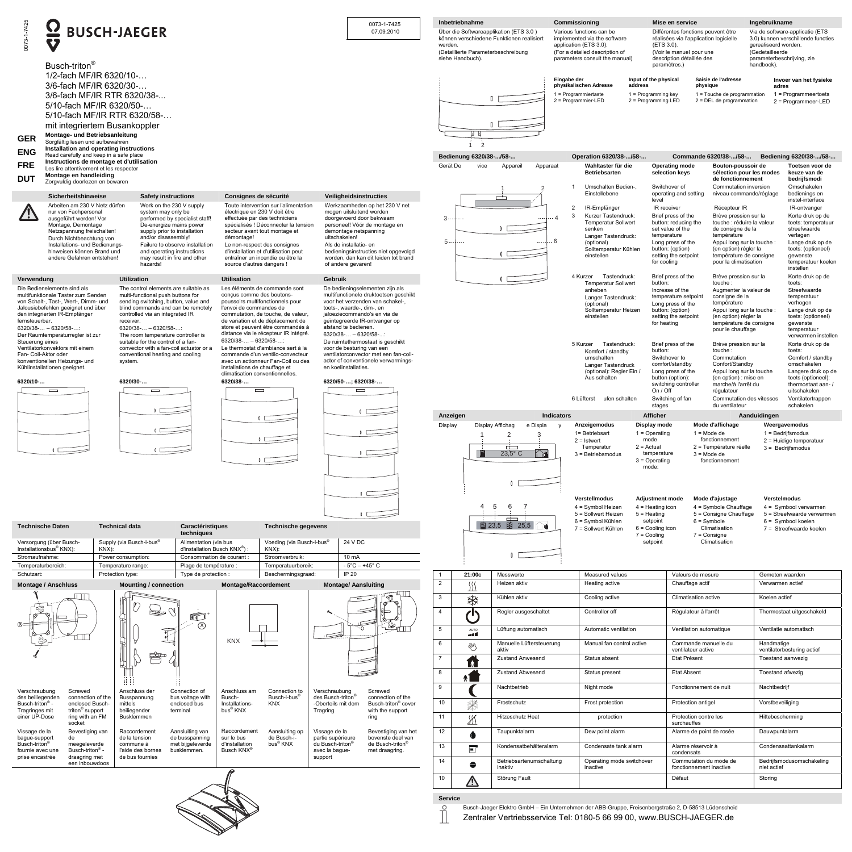| 0073-1-7425                                                                                                                                                                                                                                                                                                                                                                                                                                                                                                                                                                                                                                                                                                                                                                                                                                                                                                                                              | $\overline{\mathbf{C}}$<br><b>V</b><br>Busch-triton <sup>®</sup>                                                                                                                                                                                                                                                                           | <b>BUSCH-JAEGER</b>                                                                                                                                                                                                                                                                                                              |                                                                                                                                                                                                                                                                                                                                                                  | 0073-1-7425<br>07.09.2010                                                                                                                                                                                                                                                                                                   | Inbetriebnahme<br>Über die Softwareapplikation (ETS 3.0)<br>werden.<br>(Detaillierte Parameterbeschreibung<br>siehe Handbuch). | können verschiedene Funktionen realisiert                                         | Commissioning<br>Various functions can be<br>implemented via the software<br>application (ETS 3.0).<br>(For a detailed description of<br>parameters consult the manual)                                    | Mise en service<br>Différentes fonctions peuvent être<br>réalisées via l'application logicielle<br>(ETS 3.0).<br>(Voir le manuel pour une<br>description détaillée des<br>paramètres.)                                                                                                                                                                                                                                                                          | Ingebruikname<br>Via de software-applicatie (ETS<br>3.0) kunnen verschillende functies<br>gerealiseerd worden.<br>(Gedetailleerde<br>parameterbeschrijving, zie<br>handboek).                                    |
|----------------------------------------------------------------------------------------------------------------------------------------------------------------------------------------------------------------------------------------------------------------------------------------------------------------------------------------------------------------------------------------------------------------------------------------------------------------------------------------------------------------------------------------------------------------------------------------------------------------------------------------------------------------------------------------------------------------------------------------------------------------------------------------------------------------------------------------------------------------------------------------------------------------------------------------------------------|--------------------------------------------------------------------------------------------------------------------------------------------------------------------------------------------------------------------------------------------------------------------------------------------------------------------------------------------|----------------------------------------------------------------------------------------------------------------------------------------------------------------------------------------------------------------------------------------------------------------------------------------------------------------------------------|------------------------------------------------------------------------------------------------------------------------------------------------------------------------------------------------------------------------------------------------------------------------------------------------------------------------------------------------------------------|-----------------------------------------------------------------------------------------------------------------------------------------------------------------------------------------------------------------------------------------------------------------------------------------------------------------------------|--------------------------------------------------------------------------------------------------------------------------------|-----------------------------------------------------------------------------------|------------------------------------------------------------------------------------------------------------------------------------------------------------------------------------------------------------|-----------------------------------------------------------------------------------------------------------------------------------------------------------------------------------------------------------------------------------------------------------------------------------------------------------------------------------------------------------------------------------------------------------------------------------------------------------------|------------------------------------------------------------------------------------------------------------------------------------------------------------------------------------------------------------------|
| <b>GER</b><br><b>ENG</b>                                                                                                                                                                                                                                                                                                                                                                                                                                                                                                                                                                                                                                                                                                                                                                                                                                                                                                                                 | 1/2-fach MF/IR 6320/10-<br>3/6-fach MF/IR 6320/30-<br>3/6-fach MF/IR RTR 6320/38-<br>5/10-fach MF/IR 6320/50-<br>5/10-fach MF/IR RTR 6320/58-<br>mit integriertem Busankoppler<br>Montage- und Betriebsanleitung<br>Sorgfältig lesen und aufbewahren<br>Installation and operating instructions<br>Read carefully and keep in a safe place |                                                                                                                                                                                                                                                                                                                                  |                                                                                                                                                                                                                                                                                                                                                                  |                                                                                                                                                                                                                                                                                                                             | 2<br>Bedienung 6320/38-/58-                                                                                                    |                                                                                   | Eingabe der<br>physikalischen Adresse<br>address<br>$1$ = Programmiertaste<br>2 = Programmier-LED<br>Operation 6320/38-/58-                                                                                | Input of the physical<br>Saisie de l'adresse<br>physique<br>$1 =$ Programming key<br>1 = Touche de programmation<br>2 = Programming LED<br>$2 = DEL$ de programmation<br>Commande 6320/38-/58-                                                                                                                                                                                                                                                                  | Invoer van het fysieke<br>adres<br>$1$ = Programmeertoets<br>2 = Programmeer-LED<br>Bediening 6320/38-/58-                                                                                                       |
| <b>FRE</b><br><b>DUT</b>                                                                                                                                                                                                                                                                                                                                                                                                                                                                                                                                                                                                                                                                                                                                                                                                                                                                                                                                 | Instructions de montage et d'utilisation<br>Les lire attentivement et les respecter<br>Montage en handleiding<br>Zorgvuldig doorlezen en bewaren                                                                                                                                                                                           |                                                                                                                                                                                                                                                                                                                                  |                                                                                                                                                                                                                                                                                                                                                                  |                                                                                                                                                                                                                                                                                                                             | Gerät De<br>vice                                                                                                               | Appareil<br>Apparaat                                                              | Wahltaster für die<br><b>Betriebsarten</b><br>Umschalten Bedien-,<br>$\overline{1}$                                                                                                                        | <b>Operating mode</b><br>Bouton-poussoir de<br>selection keys<br>sélection pour les modes<br>de fonctionnement<br>Switchover of<br>Commutation inversion                                                                                                                                                                                                                                                                                                        | Toetsen voor de<br>keuze van de<br>bedrijfsmodi<br>Omschakelen                                                                                                                                                   |
|                                                                                                                                                                                                                                                                                                                                                                                                                                                                                                                                                                                                                                                                                                                                                                                                                                                                                                                                                          | Sicherheitshinweise<br>Arbeiten am 230 V Netz dürfen<br>nur von Fachpersonal<br>ausgeführt werden! Vor<br>Montage, Demontage<br>Netzspannung freischalten!<br>Durch Nichtbeachtung von<br>Installations- und Bedienungs-<br>hinweisen können Brand und<br>andere Gefahren entstehen!                                                       | <b>Safety instructions</b><br>Work on the 230 V supply<br>system may only be<br>performed by specialist staff!<br>De-energize mains power<br>supply prior to installation<br>and/or disassembly!<br>Failure to observe installation<br>and operating instructions<br>may result in fire and other<br>hazards!                    | Consignes de sécurité<br>Toute intervention sur l'alimentation<br>électrique en 230 V doit être<br>effectuée par des techniciens<br>spécialisés ! Déconnecter la tension<br>secteur avant tout montage et<br>démontage!<br>Le non-respect des consignes<br>d'installation et d'utilisation peut<br>entraîner un incendie ou être la<br>source d'autres dangers ! | Veiligheidsinstructies<br>Werkzaamheden op het 230 V net<br>mogen uitsluitend worden<br>doorgevoerd door bekwaam<br>personeel! Vóór de montage en<br>demontage netspanning<br>uitschakelen!<br>Als de installatie- en<br>bedieningsinstructies niet opgevolgd<br>worden, dan kan dit leiden tot brand<br>of andere gevaren! | $3 -$<br>$5 -$                                                                                                                 | احثت<br>- 4<br>$-6$<br>$\sim$ $\sim$ $\sim$                                       | Einstellebene<br>$\overline{2}$<br>IR-Empfänger<br>$\mathbf{3}$<br>Kurzer Tastendruck:<br><b>Temperatur Sollwert</b><br>senken<br>Langer Tastendruck:<br>(optional)<br>Solltemperatur Kühlen<br>einstellen | operating and setting<br>niveau commande/réglage<br>level<br>IR receiver<br>Récepteur IR<br>Brief press of the<br>Brève pression sur la<br>button: reducing the<br>touche : réduire la valeur<br>set value of the<br>de consigne de la<br>temperature<br>température<br>Long press of the<br>Appui long sur la touche :<br>button: (option)<br>(en option) régler la<br>température de consigne<br>setting the setpoint<br>pour la climatisation<br>for cooling | bedienings en<br>instel-interface<br>IR-ontvanger<br>Korte druk op de<br>toets: temperatuur<br>streefwaarde<br>verlagen<br>Lange druk op de<br>toets: (optioneel)<br>qewenste<br>temperatuur koelen<br>instellen |
| Verwendung<br>fernsteuerbar.<br>Steuerung eines                                                                                                                                                                                                                                                                                                                                                                                                                                                                                                                                                                                                                                                                                                                                                                                                                                                                                                          | Die Bedienelemente sind als<br>multifunktionale Taster zum Senden<br>von Schalt-, Tast-, Wert-, Dimm- und<br>Jalousiebefehlen geeignet und über<br>den integrierten IR-Empfänger<br>$6320/38 - 6320/58$<br>Der Raumtemperaturregler ist zur                                                                                                | <b>Utilization</b><br>The control elements are suitable as<br>multi-functional push buttons for<br>sending switching, button, value and<br>blind commands and can be remotely<br>controlled via an integrated IR<br>receiver.<br>$6320/38 - 6320/58$<br>The room temperature controller is<br>suitable for the control of a fan- | <b>Utilisation</b><br>Les éléments de commande sont<br>concus comme des boutons-<br>poussoirs multifonctionnels pour<br>l'envoi de commandes de<br>commutation, de touche, de valeur.<br>de variation et de déplacement de<br>store et peuvent être commandés à<br>distance via le récepteur IR intégré.<br>$6320/38 - 6320/58$                                  | Gebruik<br>De bedieningselementen zijn als<br>multifunctionele druktoetsen geschikt<br>voor het verzenden van schakel-,<br>toets-, waarde-, dim-, en<br>jaloeziecommando's en via de<br>geïntegreerde IR-ontvanger op<br>afstand te bedienen.<br>$6320/38$ - - 6320/58-:<br>De ruimtethermostaat is geschikt                |                                                                                                                                |                                                                                   | 4 Kurzer<br>Tastendruck:<br><b>Temperatur Sollwert</b><br>anheben<br>Langer Tastendruck:<br>(optional)<br>Solltemperatur Heizen<br>einstellen                                                              | Brief press of the<br>Brève pression sur la<br>button:<br>touche<br>Increase of the<br>Augmenter la valeur de<br>temperature setpoint<br>consigne de la<br>température<br>Long press of the<br>button: (option)<br>Appui long sur la touche :<br>setting the setpoint<br>(en option) régler la<br>for heating<br>température de consigne<br>pour le chauffage                                                                                                   | Korte druk op de<br>toets:<br>Streefwaarde<br>temperatuur<br>verhogen<br>Lange druk op de<br>toets: (optioneel)<br>gewenste<br>temperatuur<br>verwarmen instellen                                                |
| Fan- Coil-Aktor oder<br>$6320/10$ -                                                                                                                                                                                                                                                                                                                                                                                                                                                                                                                                                                                                                                                                                                                                                                                                                                                                                                                      | Ventilatorkonvektors mit einem<br>konventionellen Heizungs- und<br>Kühlinstallationen geeignet.<br>$\qquad \qquad \blacksquare$                                                                                                                                                                                                            | convector with a fan-coil actuator or a<br>conventional heating and cooling<br>system.<br>6320/30-<br>$\equiv$                                                                                                                                                                                                                   | Le thermostat d'ambiance sert à la<br>commande d'un ventilo-convecteur<br>avec un actionneur Fan-Coil ou des<br>installations de chauffage et<br>climatisation conventionnelles.<br>6320/38-                                                                                                                                                                     | voor de besturing van een<br>ventilatorconvector met een fan-coil-<br>actor of conventionele verwarmings-<br>en koelinstallaties.<br>6320/50-; 6320/38-<br>$\equiv$                                                                                                                                                         |                                                                                                                                |                                                                                   | 5 Kurzer<br>Tastendruck:<br>Komfort / standby<br>umschalten<br>Langer Tastendruck<br>(optional): Regler Ein /<br>Aus schalten<br>6 Lüfterst<br>ufen schalten                                               | Brief press of the<br>Brève pression sur la<br>button:<br>touche:<br>Switchover to<br>Commutation<br>comfort/standby<br>Confort/Standby<br>Long press of the<br>Appui long sur la touche<br>button (option):<br>(en option) : mise en<br>switching controller<br>marche/à l'arrêt du<br>On / Off<br>régulateur<br>Switching of fan<br>Commutation des vitesses<br>du ventilateur<br>stages                                                                      | Korte druk op de<br>toets:<br>Comfort / standby<br>omschakelen<br>Langere druk op de<br>toets (optioneel):<br>thermostaat aan-/<br>uitschakelen<br>Ventilatortrappen<br>schakelen                                |
|                                                                                                                                                                                                                                                                                                                                                                                                                                                                                                                                                                                                                                                                                                                                                                                                                                                                                                                                                          |                                                                                                                                                                                                                                                                                                                                            |                                                                                                                                                                                                                                                                                                                                  |                                                                                                                                                                                                                                                                                                                                                                  | $\sqrt{2}$                                                                                                                                                                                                                                                                                                                  | Anzeigen<br>Display                                                                                                            | <b>Indicators</b><br>Display Affichag<br>e Displa<br>$\Gamma$<br>$23.5^{\circ}$ C | Anzeigemodus<br>1= Betriebsart<br>mode<br>$2 =$ Istwert<br>$2 =$ Actual<br>Temperatur<br>$3 =$ Betriebsmodus<br><b>Verstellmodus</b>                                                                       | <b>Afficher</b><br>Display mode<br>Mode d'affichage<br>$1 =$ Operating<br>$1 = Mode de$<br>fonctionnement<br>2 = Température réelle<br>temperature<br>$3 = Mode de$<br>$3 =$ Operating<br>fonctionnement<br>mode:<br>Mode d'ajustage<br><b>Adjustment mode</b>                                                                                                                                                                                                  | Aanduidingen<br>Weergavemodus<br>$1 = Bedrijfsmodus$<br>2 = Huidige temperatuur<br>$3 =$ Bedrijfsmodus<br>Verstelmodus                                                                                           |
| -5<br>6<br>4<br>$4 =$ Symbol Heizen<br>$4$ = Heating icon<br>$4 =$ Symbole Chauffage<br>$4 =$ Symbool verwarmen<br>5 = Sollwert Heizen<br>5 = Consigne Chauffage<br>5 = Streefwaarde verwarmen<br>$5 =$ Heating<br><u>a - 1</u><br>setpoint<br>$6 = Symbole$<br>6 = Symbol Kühlen<br>$6 =$ Symbool koelen<br>图 23,5 图 25,5<br><b>Technische Daten</b><br><b>Technical data</b><br><b>Caractéristiques</b><br><b>Technische gegevens</b><br>Climatisation<br>$6 =$ Cooling icon<br>7 = Sollwert Kühlen<br>7 = Streefwaarde koelen<br>techniques<br>$7 =$ Cooling<br>$7 =$ Consigne<br>setpoint<br>Climatisation<br>24 V DC<br>Supply (via Busch-i-bus <sup>®</sup><br>Alimentation (via bus<br>Voeding (via Busch-i-bus®<br>Versorgung (über Busch-<br>Installationsbus <sup>®</sup> KNX):<br>$KNX)$ :<br>d'installation Busch KNX <sup>®</sup> )<br>KNX):<br>Stromaufnahme:<br>10 mA<br>Power consumption:<br>Consommation de courant<br>Stroomverbruik: |                                                                                                                                                                                                                                                                                                                                            |                                                                                                                                                                                                                                                                                                                                  |                                                                                                                                                                                                                                                                                                                                                                  |                                                                                                                                                                                                                                                                                                                             |                                                                                                                                |                                                                                   |                                                                                                                                                                                                            |                                                                                                                                                                                                                                                                                                                                                                                                                                                                 |                                                                                                                                                                                                                  |
| Temperaturbereich:<br>Schutzart:                                                                                                                                                                                                                                                                                                                                                                                                                                                                                                                                                                                                                                                                                                                                                                                                                                                                                                                         |                                                                                                                                                                                                                                                                                                                                            | Plage de température<br>Temperature range:<br>Protection type:<br>Type de protection                                                                                                                                                                                                                                             | Temperatuurbereik:<br>Beschermingsgraad:                                                                                                                                                                                                                                                                                                                         | $-5^{\circ}$ C $- +45^{\circ}$ C<br>IP 20                                                                                                                                                                                                                                                                                   | 21:00c                                                                                                                         | Messwerte                                                                         | Measured values                                                                                                                                                                                            | Valeurs de mesure                                                                                                                                                                                                                                                                                                                                                                                                                                               | Gemeten waarden                                                                                                                                                                                                  |
|                                                                                                                                                                                                                                                                                                                                                                                                                                                                                                                                                                                                                                                                                                                                                                                                                                                                                                                                                          | <b>Montage / Anschluss</b>                                                                                                                                                                                                                                                                                                                 | <b>Mounting / connection</b>                                                                                                                                                                                                                                                                                                     | <b>Montage/Raccordement</b>                                                                                                                                                                                                                                                                                                                                      | <b>Montage/ Aansluiting</b>                                                                                                                                                                                                                                                                                                 | $\overline{2}$<br>$($ $($<br><u>)))</u>                                                                                        | Heizen aktiv                                                                      | Heating active                                                                                                                                                                                             | Chauffage actif                                                                                                                                                                                                                                                                                                                                                                                                                                                 | Verwarmen actief                                                                                                                                                                                                 |
|                                                                                                                                                                                                                                                                                                                                                                                                                                                                                                                                                                                                                                                                                                                                                                                                                                                                                                                                                          |                                                                                                                                                                                                                                                                                                                                            |                                                                                                                                                                                                                                                                                                                                  |                                                                                                                                                                                                                                                                                                                                                                  |                                                                                                                                                                                                                                                                                                                             | $\overline{\mathbf{3}}$<br>☀                                                                                                   | Kühlen aktiv                                                                      | Cooling active                                                                                                                                                                                             | Climatisation active                                                                                                                                                                                                                                                                                                                                                                                                                                            | Koelen actief                                                                                                                                                                                                    |
|                                                                                                                                                                                                                                                                                                                                                                                                                                                                                                                                                                                                                                                                                                                                                                                                                                                                                                                                                          |                                                                                                                                                                                                                                                                                                                                            | e<br>$\bigcirc$<br>$^\circledR$                                                                                                                                                                                                                                                                                                  |                                                                                                                                                                                                                                                                                                                                                                  | ₩                                                                                                                                                                                                                                                                                                                           | $\overline{4}$<br>∕l'                                                                                                          | Regler ausgeschaltet                                                              | Controller off                                                                                                                                                                                             | Régulateur à l'arrêt                                                                                                                                                                                                                                                                                                                                                                                                                                            | Thermostaat uitgeschakeld                                                                                                                                                                                        |
|                                                                                                                                                                                                                                                                                                                                                                                                                                                                                                                                                                                                                                                                                                                                                                                                                                                                                                                                                          |                                                                                                                                                                                                                                                                                                                                            | ヴ                                                                                                                                                                                                                                                                                                                                | <b>KNX</b>                                                                                                                                                                                                                                                                                                                                                       |                                                                                                                                                                                                                                                                                                                             | $5\overline{5}$<br>AUTO<br>أألعه                                                                                               | Lüftung automatisch                                                               | Automatic ventilation                                                                                                                                                                                      | Ventilation automatique                                                                                                                                                                                                                                                                                                                                                                                                                                         | Ventilatie automatisch                                                                                                                                                                                           |
|                                                                                                                                                                                                                                                                                                                                                                                                                                                                                                                                                                                                                                                                                                                                                                                                                                                                                                                                                          |                                                                                                                                                                                                                                                                                                                                            | 學                                                                                                                                                                                                                                                                                                                                |                                                                                                                                                                                                                                                                                                                                                                  |                                                                                                                                                                                                                                                                                                                             | 6<br>Ŋ                                                                                                                         | Manuelle Lüftersteuerung<br>aktiv                                                 | Manual fan control active                                                                                                                                                                                  | Commande manuelle du<br>ventilateur active                                                                                                                                                                                                                                                                                                                                                                                                                      | Handmatige<br>ventilatorbesturing actief                                                                                                                                                                         |
|                                                                                                                                                                                                                                                                                                                                                                                                                                                                                                                                                                                                                                                                                                                                                                                                                                                                                                                                                          |                                                                                                                                                                                                                                                                                                                                            |                                                                                                                                                                                                                                                                                                                                  |                                                                                                                                                                                                                                                                                                                                                                  | $\equiv$                                                                                                                                                                                                                                                                                                                    | $\mathbf{A}$<br>8                                                                                                              | <b>Zustand Anwesend</b>                                                           | Status absent                                                                                                                                                                                              | Etat Présent                                                                                                                                                                                                                                                                                                                                                                                                                                                    | Toestand aanwezig                                                                                                                                                                                                |
|                                                                                                                                                                                                                                                                                                                                                                                                                                                                                                                                                                                                                                                                                                                                                                                                                                                                                                                                                          |                                                                                                                                                                                                                                                                                                                                            |                                                                                                                                                                                                                                                                                                                                  |                                                                                                                                                                                                                                                                                                                                                                  |                                                                                                                                                                                                                                                                                                                             | 9                                                                                                                              | <b>Zustand Abwesend</b>                                                           | Status present                                                                                                                                                                                             | <b>Etat Absent</b><br>Fonctionnement de nuit                                                                                                                                                                                                                                                                                                                                                                                                                    | Toestand afwezig                                                                                                                                                                                                 |
| Verschraubung<br>des beiliegenden                                                                                                                                                                                                                                                                                                                                                                                                                                                                                                                                                                                                                                                                                                                                                                                                                                                                                                                        | Screwed<br>connection of the                                                                                                                                                                                                                                                                                                               | Anschluss der<br>Connection of<br>Busspannung<br>bus voltage with                                                                                                                                                                                                                                                                | Anschluss am<br>Connection to<br>Busch-<br>Busch-i-bus <sup>®</sup>                                                                                                                                                                                                                                                                                              | Screwed<br>Verschraubung<br>des Busch-triton®<br>connection of the                                                                                                                                                                                                                                                          |                                                                                                                                | Nachtbetrieb                                                                      | Night mode                                                                                                                                                                                                 |                                                                                                                                                                                                                                                                                                                                                                                                                                                                 | Nachtbedrijf                                                                                                                                                                                                     |
| Busch-triton <sup>®</sup> -<br>Tragringes mit<br>einer UP-Dose                                                                                                                                                                                                                                                                                                                                                                                                                                                                                                                                                                                                                                                                                                                                                                                                                                                                                           | enclosed Busch-<br>triton <sup>®</sup> support                                                                                                                                                                                                                                                                                             | enclosed bus<br>mittels<br>terminal<br>beiliegender                                                                                                                                                                                                                                                                              | <b>KNX</b><br>Installations-<br>bus <sup>®</sup> KNX                                                                                                                                                                                                                                                                                                             | Busch-triton <sup>®</sup> cover<br>-Oberteils mit dem<br>with the support<br>Tragring                                                                                                                                                                                                                                       | 10<br>▓<br>11                                                                                                                  | Frostschutz                                                                       | Frost protection                                                                                                                                                                                           | Protection antigel                                                                                                                                                                                                                                                                                                                                                                                                                                              | Vorstbeveiliging                                                                                                                                                                                                 |
|                                                                                                                                                                                                                                                                                                                                                                                                                                                                                                                                                                                                                                                                                                                                                                                                                                                                                                                                                          | ring with an FM<br>socket                                                                                                                                                                                                                                                                                                                  | Busklemmen                                                                                                                                                                                                                                                                                                                       |                                                                                                                                                                                                                                                                                                                                                                  | ring                                                                                                                                                                                                                                                                                                                        | <u>88</u>                                                                                                                      | Hitzeschutz Heat                                                                  | protection                                                                                                                                                                                                 | Protection contre les<br>surchauffes                                                                                                                                                                                                                                                                                                                                                                                                                            | Hittebescherming                                                                                                                                                                                                 |
| Vissage de la<br>bague-support<br>Busch-triton <sup>®</sup>                                                                                                                                                                                                                                                                                                                                                                                                                                                                                                                                                                                                                                                                                                                                                                                                                                                                                              | Bevestiging van<br>de<br>meegeleverde                                                                                                                                                                                                                                                                                                      | Raccordement<br>Aansluiting van<br>de busspanning<br>de la tension<br>met bijgeleverde<br>commune à                                                                                                                                                                                                                              | Raccordement<br>Aansluiting op<br>de Busch-i-<br>sur le bus<br>bus <sup>®</sup> KNX<br>d'installation                                                                                                                                                                                                                                                            | Vissage de la<br>Bevestiging van het<br>bovenste deel van<br>partie supérieure<br>de Busch-triton <sup>®</sup><br>du Busch-triton <sup>®</sup>                                                                                                                                                                              | 12<br>6                                                                                                                        | Taupunktalarm                                                                     | Dew point alarm                                                                                                                                                                                            | Alarme de point de rosée                                                                                                                                                                                                                                                                                                                                                                                                                                        | Dauwpuntalarm                                                                                                                                                                                                    |
| fournie avec une<br>prise encastrée                                                                                                                                                                                                                                                                                                                                                                                                                                                                                                                                                                                                                                                                                                                                                                                                                                                                                                                      | Busch-triton <sup>®</sup> -<br>draagring met                                                                                                                                                                                                                                                                                               | busklemmen.<br>l'aide des bornes<br>de bus fournies                                                                                                                                                                                                                                                                              | Busch KNX <sup>®</sup>                                                                                                                                                                                                                                                                                                                                           | avec la bague-<br>met draagring.<br>support                                                                                                                                                                                                                                                                                 | 13<br>$\overline{\Xi}$                                                                                                         | Kondensatbehälteralarm                                                            | Condensate tank alarm                                                                                                                                                                                      | Alarme réservoir à<br>condensats                                                                                                                                                                                                                                                                                                                                                                                                                                | Condensaattankalarm                                                                                                                                                                                              |
|                                                                                                                                                                                                                                                                                                                                                                                                                                                                                                                                                                                                                                                                                                                                                                                                                                                                                                                                                          | een inbouwdoos                                                                                                                                                                                                                                                                                                                             |                                                                                                                                                                                                                                                                                                                                  |                                                                                                                                                                                                                                                                                                                                                                  |                                                                                                                                                                                                                                                                                                                             | 14<br>$\bullet$                                                                                                                | Betriebsartenumschaltung<br>inaktiv                                               | Operating mode switchover<br>inactive                                                                                                                                                                      | Commutation du mode de<br>fonctionnement inactive                                                                                                                                                                                                                                                                                                                                                                                                               | Bedrijfsmodusomschakeling<br>niet actief                                                                                                                                                                         |
|                                                                                                                                                                                                                                                                                                                                                                                                                                                                                                                                                                                                                                                                                                                                                                                                                                                                                                                                                          |                                                                                                                                                                                                                                                                                                                                            |                                                                                                                                                                                                                                                                                                                                  |                                                                                                                                                                                                                                                                                                                                                                  |                                                                                                                                                                                                                                                                                                                             | 10<br>$\Delta$                                                                                                                 | Störung Fault                                                                     |                                                                                                                                                                                                            | Défaut                                                                                                                                                                                                                                                                                                                                                                                                                                                          | Storing                                                                                                                                                                                                          |
|                                                                                                                                                                                                                                                                                                                                                                                                                                                                                                                                                                                                                                                                                                                                                                                                                                                                                                                                                          |                                                                                                                                                                                                                                                                                                                                            |                                                                                                                                                                                                                                                                                                                                  |                                                                                                                                                                                                                                                                                                                                                                  |                                                                                                                                                                                                                                                                                                                             | <b>Service</b>                                                                                                                 |                                                                                   |                                                                                                                                                                                                            |                                                                                                                                                                                                                                                                                                                                                                                                                                                                 |                                                                                                                                                                                                                  |
|                                                                                                                                                                                                                                                                                                                                                                                                                                                                                                                                                                                                                                                                                                                                                                                                                                                                                                                                                          |                                                                                                                                                                                                                                                                                                                                            |                                                                                                                                                                                                                                                                                                                                  |                                                                                                                                                                                                                                                                                                                                                                  |                                                                                                                                                                                                                                                                                                                             |                                                                                                                                |                                                                                   | Busch-Jaeger Elektro GmbH - Ein Unternehmen der ABB-Gruppe, Freisenbergstraße 2, D-58513 Lüdenscheid<br>Zentraler Vertriebsservice Tel: 0180-5 66 99 00, www.BUSCH-JAEGER.de                               |                                                                                                                                                                                                                                                                                                                                                                                                                                                                 |                                                                                                                                                                                                                  |